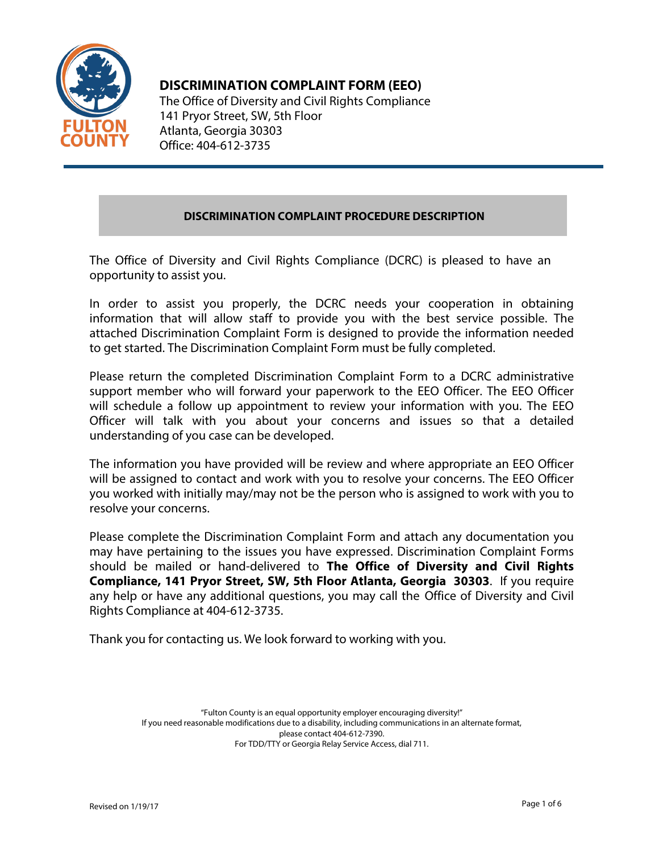

# **DISCRIMINATION COMPLAINT FORM (EEO)**

The Office of Diversity and Civil Rights Compliance 141 Pryor Street, SW, 5th Floor Atlanta, Georgia 30303 Office: 404-612-3735

# **DISCRIMINATION COMPLAINT PROCEDURE DESCRIPTION**

The Office of Diversity and Civil Rights Compliance (DCRC) is pleased to have an opportunity to assist you.

In order to assist you properly, the DCRC needs your cooperation in obtaining information that will allow staff to provide you with the best service possible. The attached Discrimination Complaint Form is designed to provide the information needed to get started. The Discrimination Complaint Form must be fully completed.

Please return the completed Discrimination Complaint Form to a DCRC administrative support member who will forward your paperwork to the EEO Officer. The EEO Officer will schedule a follow up appointment to review your information with you. The EEO Officer will talk with you about your concerns and issues so that a detailed understanding of you case can be developed.

The information you have provided will be review and where appropriate an EEO Officer will be assigned to contact and work with you to resolve your concerns. The EEO Officer you worked with initially may/may not be the person who is assigned to work with you to resolve your concerns.

Please complete the Discrimination Complaint Form and attach any documentation you may have pertaining to the issues you have expressed. Discrimination Complaint Forms should be mailed or hand-delivered to **The Office of Diversity and Civil Rights Compliance, 141 Pryor Street, SW, 5th Floor Atlanta, Georgia 30303**. If you require any help or have any additional questions, you may call the Office of Diversity and Civil Rights Compliance at 404-612-3735.

Thank you for contacting us. We look forward to working with you.

"Fulton County is an equal opportunity employer encouraging diversity!" If you need reasonable modifications due to a disability, including communications in an alternate format, please contact 404-612-7390. For TDD/TTY or Georgia Relay Service Access, dial 711.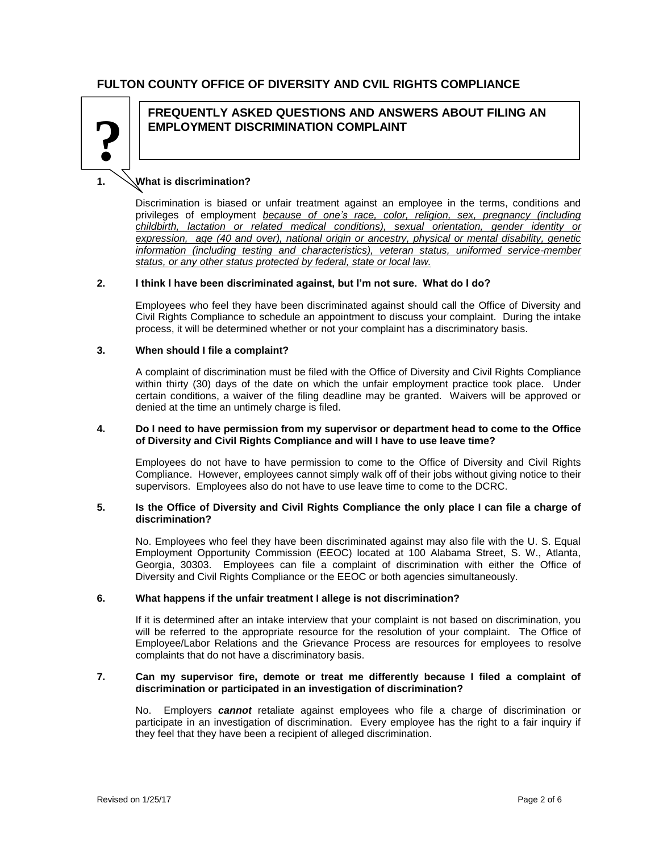## **FULTON COUNTY OFFICE OF DIVERSITY AND CVIL RIGHTS COMPLIANCE**



## **FREQUENTLY ASKED QUESTIONS AND ANSWERS ABOUT FILING AN EMPLOYMENT DISCRIMINATION COMPLAINT ?**

## **1. What is discrimination?**

Discrimination is biased or unfair treatment against an employee in the terms, conditions and privileges of employment *because of one's race, color, religion, sex, pregnancy (including childbirth, lactation or related medical conditions), sexual orientation, gender identity or expression, age (40 and over), national origin or ancestry, physical or mental disability, genetic information (including testing and characteristics), veteran status, uniformed service-member status, or any other status protected by federal, state or local law.*

#### **2. I think I have been discriminated against, but I'm not sure. What do I do?**

Employees who feel they have been discriminated against should call the Office of Diversity and Civil Rights Compliance to schedule an appointment to discuss your complaint. During the intake process, it will be determined whether or not your complaint has a discriminatory basis.

#### **3. When should I file a complaint?**

A complaint of discrimination must be filed with the Office of Diversity and Civil Rights Compliance within thirty (30) days of the date on which the unfair employment practice took place. Under certain conditions, a waiver of the filing deadline may be granted. Waivers will be approved or denied at the time an untimely charge is filed.

#### **4. Do I need to have permission from my supervisor or department head to come to the Office of Diversity and Civil Rights Compliance and will I have to use leave time?**

Employees do not have to have permission to come to the Office of Diversity and Civil Rights Compliance. However, employees cannot simply walk off of their jobs without giving notice to their supervisors. Employees also do not have to use leave time to come to the DCRC.

#### **5. Is the Office of Diversity and Civil Rights Compliance the only place I can file a charge of discrimination?**

No. Employees who feel they have been discriminated against may also file with the U. S. Equal Employment Opportunity Commission (EEOC) located at 100 Alabama Street, S. W., Atlanta, Georgia, 30303. Employees can file a complaint of discrimination with either the Office of Diversity and Civil Rights Compliance or the EEOC or both agencies simultaneously.

#### **6. What happens if the unfair treatment I allege is not discrimination?**

If it is determined after an intake interview that your complaint is not based on discrimination, you will be referred to the appropriate resource for the resolution of your complaint. The Office of Employee/Labor Relations and the Grievance Process are resources for employees to resolve complaints that do not have a discriminatory basis.

#### **7. Can my supervisor fire, demote or treat me differently because I filed a complaint of discrimination or participated in an investigation of discrimination?**

No. Employers *cannot* retaliate against employees who file a charge of discrimination or participate in an investigation of discrimination. Every employee has the right to a fair inquiry if they feel that they have been a recipient of alleged discrimination.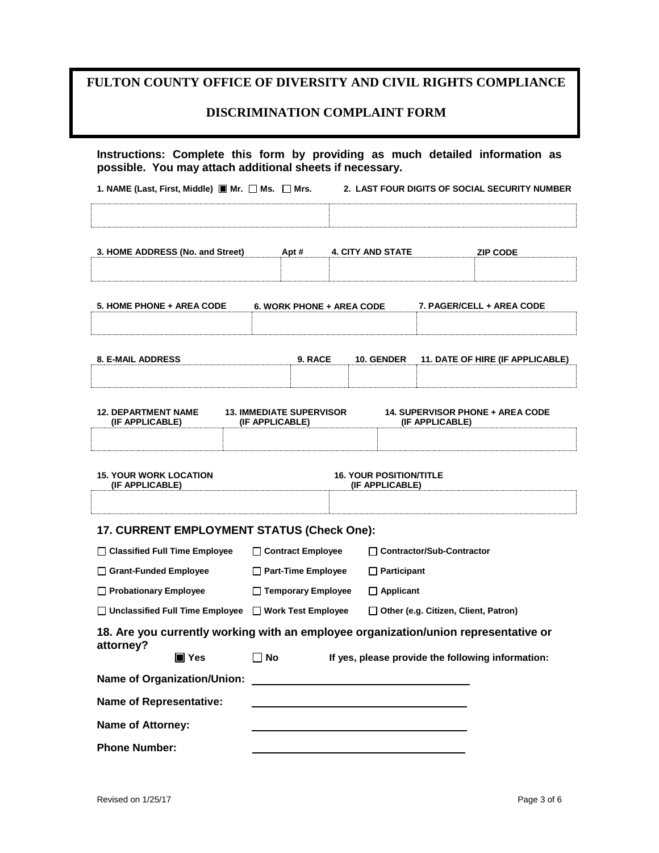# **FULTON COUNTY OFFICE OF DIVERSITY AND CIVIL RIGHTS COMPLIANCE**

## **DISCRIMINATION COMPLAINT FORM**

| 1. NAME (Last, First, Middle) $\blacksquare$ Mr. $\Box$ Ms. $\Box$ Mrs.                          |                                  |                           |                                | 2. LAST FOUR DIGITS OF SOCIAL SECURITY NUMBER     |  |
|--------------------------------------------------------------------------------------------------|----------------------------------|---------------------------|--------------------------------|---------------------------------------------------|--|
|                                                                                                  |                                  |                           |                                |                                                   |  |
| 3. HOME ADDRESS (No. and Street)                                                                 |                                  | <b>4. CITY AND STATE</b>  |                                |                                                   |  |
|                                                                                                  | Apt #                            |                           |                                | <b>ZIP CODE</b>                                   |  |
| <b>5. HOME PHONE + AREA CODE</b>                                                                 |                                  |                           |                                | 7. PAGER/CELL + AREA CODE                         |  |
|                                                                                                  | <b>6. WORK PHONE + AREA CODE</b> |                           |                                |                                                   |  |
| <b>8. E-MAIL ADDRESS</b>                                                                         | 9. RACE                          | 10. GENDER                |                                | 11. DATE OF HIRE (IF APPLICABLE)                  |  |
|                                                                                                  |                                  |                           |                                |                                                   |  |
| <b>12. DEPARTMENT NAME</b>                                                                       | <b>13. IMMEDIATE SUPERVISOR</b>  |                           |                                | <b>14. SUPERVISOR PHONE + AREA CODE</b>           |  |
| (IF APPLICABLE)                                                                                  | (IF APPLICABLE)                  |                           | (IF APPLICABLE)                |                                                   |  |
| <b>15. YOUR WORK LOCATION</b>                                                                    |                                  |                           | <b>16. YOUR POSITION/TITLE</b> |                                                   |  |
| (IF APPLICABLE)                                                                                  |                                  |                           | (IF APPLICABLE)                |                                                   |  |
| <b>17. CURRENT EMPLOYMENT STATUS (Check One):</b>                                                |                                  |                           |                                |                                                   |  |
| □ Classified Full Time Employee                                                                  | □ Contract Employee              |                           | □ Contractor/Sub-Contractor    |                                                   |  |
| □ Grant-Funded Employee                                                                          | Part-Time Employee               |                           | $\Box$ Participant             |                                                   |  |
| Probationary Employee                                                                            | □ Temporary Employee             |                           | $\Box$ Applicant               |                                                   |  |
| □ Unclassified Full Time Employee                                                                |                                  | $\Box$ Work Test Employee |                                | □ Other (e.g. Citizen, Client, Patron)            |  |
| 18. Are you currently working with an employee organization/union representative or<br>attorney? |                                  |                           |                                |                                                   |  |
| $\blacksquare$ Yes                                                                               | $\Box$ No                        |                           |                                | If yes, please provide the following information: |  |
| <b>Name of Organization/Union:</b>                                                               |                                  |                           |                                |                                                   |  |
| <b>Name of Representative:</b>                                                                   |                                  |                           |                                |                                                   |  |
| <b>Name of Attorney:</b>                                                                         |                                  |                           |                                |                                                   |  |
|                                                                                                  |                                  |                           |                                |                                                   |  |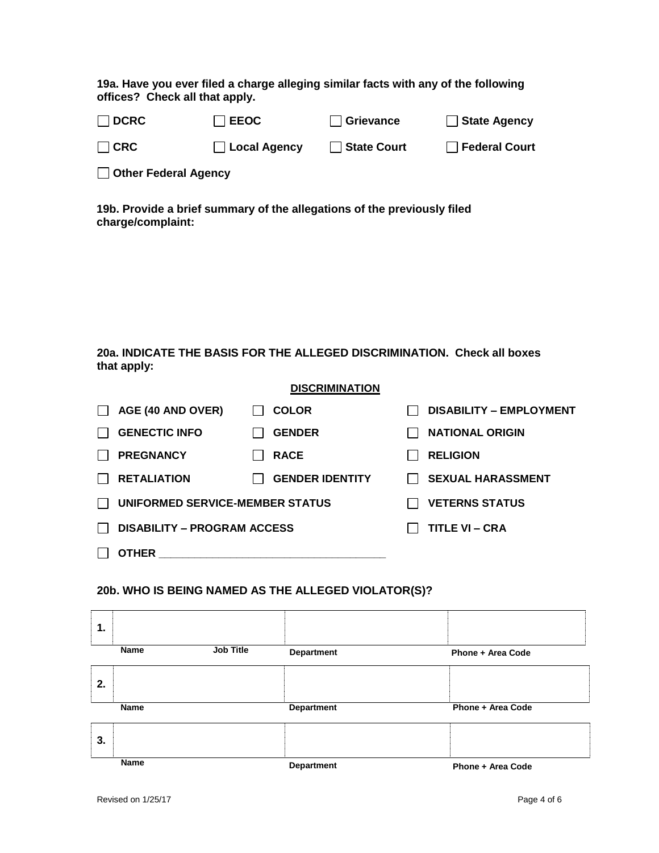**19a. Have you ever filed a charge alleging similar facts with any of the following offices? Check all that apply.** 

| $\Box$ DCRC | $\Box$ EEOC    | $\Box$ Grievance     | $\Box$ State Agency    |
|-------------|----------------|----------------------|------------------------|
| $\Box$ CRC  | □ Local Agency | <b>□ State Court</b> | <b>□ Federal Court</b> |

**Other Federal Agency**

**19b. Provide a brief summary of the allegations of the previously filed charge/complaint:** 

**20a. INDICATE THE BASIS FOR THE ALLEGED DISCRIMINATION. Check all boxes that apply:** 

### **DISCRIMINATION**

| AGE (40 AND OVER)                  | <b>COLOR</b>           |  | <b>DISABILITY - EMPLOYMENT</b> |
|------------------------------------|------------------------|--|--------------------------------|
| <b>GENECTIC INFO</b>               | <b>GENDER</b>          |  | <b>NATIONAL ORIGIN</b>         |
| <b>PREGNANCY</b>                   | <b>RACE</b>            |  | <b>RELIGION</b>                |
| <b>RETALIATION</b>                 | <b>GENDER IDENTITY</b> |  | <b>SEXUAL HARASSMENT</b>       |
| UNIFORMED SERVICE-MEMBER STATUS    |                        |  | <b>VETERNS STATUS</b>          |
| <b>DISABILITY – PROGRAM ACCESS</b> |                        |  | TITLE VI – CRA                 |
| <b>OTHER</b>                       |                        |  |                                |
|                                    |                        |  |                                |

### **20b. WHO IS BEING NAMED AS THE ALLEGED VIOLATOR(S)?**

| 1.          |                  |                   |                          |
|-------------|------------------|-------------------|--------------------------|
| Name        | <b>Job Title</b> | <b>Department</b> | <b>Phone + Area Code</b> |
| 2.          |                  |                   |                          |
| Name        |                  | <b>Department</b> | Phone + Area Code        |
| 3.          |                  |                   |                          |
| <b>Name</b> |                  | <b>Department</b> | <b>Phone + Area Code</b> |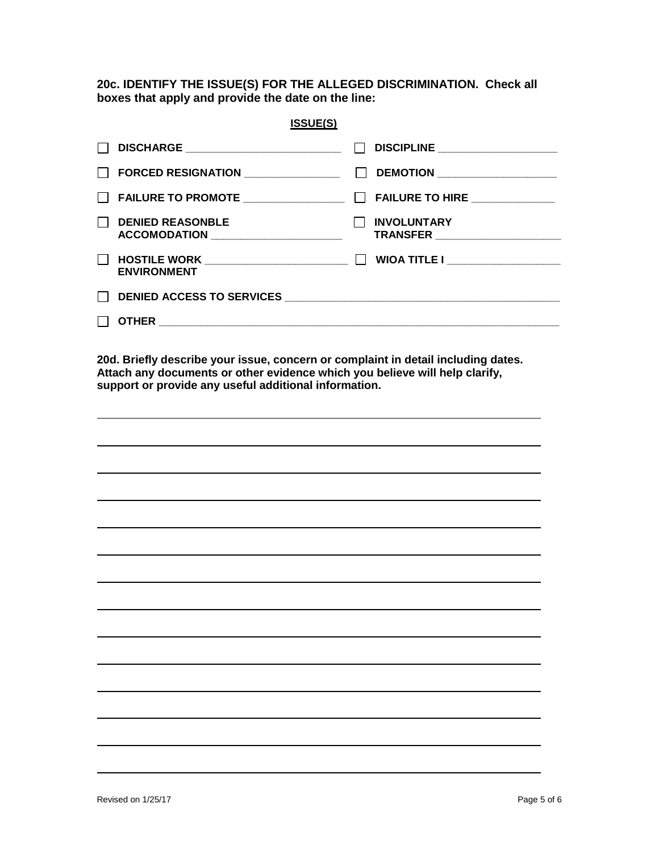**20c. IDENTIFY THE ISSUE(S) FOR THE ALLEGED DISCRIMINATION. Check all boxes that apply and provide the date on the line:** 

| <b>ISSUE(S)</b>                       |                                                      |
|---------------------------------------|------------------------------------------------------|
| DISCHARGE ___________________________ | DISCIPLINE ___________________                       |
| FORCED RESIGNATION _______________    | DEMOTION ____________________                        |
|                                       | FAILURE TO HIRE _____________                        |
| <b>DENIED REASONBLE</b>               | <b>INVOLUNTARY</b><br>TRANSFER _____________________ |
| <b>ENVIRONMENT</b>                    | WIOA TITLE I ____________________                    |
|                                       |                                                      |
| OTHER                                 |                                                      |

**20d. Briefly describe your issue, concern or complaint in detail including dates. Attach any documents or other evidence which you believe will help clarify, support or provide any useful additional information.**